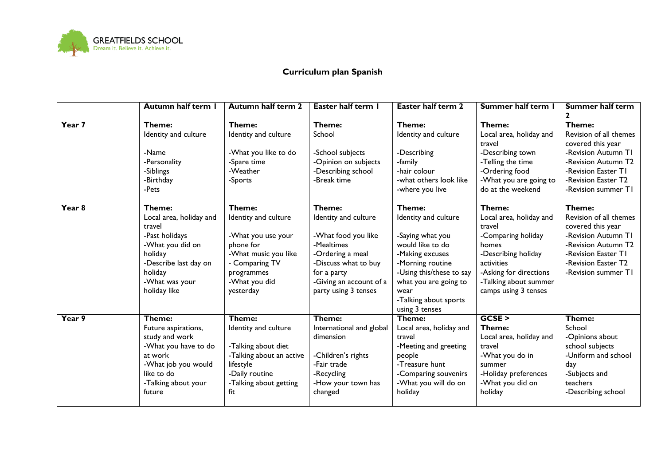

## **Curriculum plan Spanish**

|                   | Autumn half term I                                                                                                                                                 | <b>Autumn half term 2</b>                                                                                                                               | Easter half term I                                                                                                                                                                | <b>Easter half term 2</b>                                                                                                                                                                                             | Summer half term I                                                                                                                                                                         | <b>Summer half term</b><br>$\mathbf{2}$                                                                                                                                  |
|-------------------|--------------------------------------------------------------------------------------------------------------------------------------------------------------------|---------------------------------------------------------------------------------------------------------------------------------------------------------|-----------------------------------------------------------------------------------------------------------------------------------------------------------------------------------|-----------------------------------------------------------------------------------------------------------------------------------------------------------------------------------------------------------------------|--------------------------------------------------------------------------------------------------------------------------------------------------------------------------------------------|--------------------------------------------------------------------------------------------------------------------------------------------------------------------------|
| Year 7            | Theme:<br>Identity and culture<br>-Name<br>-Personality<br>-Siblings<br>-Birthday<br>-Pets                                                                         | Theme:<br>Identity and culture<br>-What you like to do<br>-Spare time<br>-Weather<br>-Sports                                                            | Theme:<br>School<br>-School subjects<br>-Opinion on subjects<br>-Describing school<br>-Break time                                                                                 | Theme:<br>Identity and culture<br>-Describing<br>-family<br>-hair colour<br>-what others look like<br>-where you live                                                                                                 | Theme:<br>Local area, holiday and<br>travel<br>-Describing town<br>-Telling the time<br>-Ordering food<br>-What you are going to<br>do at the weekend                                      | Theme:<br>Revision of all themes<br>covered this year<br>-Revision Autumn TI<br>-Revision Autumn T2<br>-Revision Easter TI<br>-Revision Easter T2<br>-Revision summer TI |
| Year <sub>8</sub> | Theme:<br>Local area, holiday and<br>travel<br>-Past holidays<br>-What you did on<br>holiday<br>-Describe last day on<br>holiday<br>-What was your<br>holiday like | Theme:<br>Identity and culture<br>-What you use your<br>phone for<br>-What music you like<br>- Comparing TV<br>programmes<br>-What you did<br>yesterday | Theme:<br>Identity and culture<br>-What food you like<br>-Mealtimes<br>-Ordering a meal<br>-Discuss what to buy<br>for a party<br>-Giving an account of a<br>party using 3 tenses | Theme:<br>Identity and culture<br>-Saying what you<br>would like to do<br>-Making excuses<br>-Morning routine<br>-Using this/these to say<br>what you are going to<br>wear<br>-Talking about sports<br>using 3 tenses | Theme:<br>Local area, holiday and<br>travel<br>-Comparing holiday<br>homes<br>-Describing holiday<br>activities<br>-Asking for directions<br>-Talking about summer<br>camps using 3 tenses | Theme:<br>Revision of all themes<br>covered this year<br>-Revision Autumn TI<br>-Revision Autumn T2<br>-Revision Easter TI<br>-Revision Easter T2<br>-Revision summer TI |
| Year 9            | Theme:<br>Future aspirations,<br>study and work<br>-What you have to do<br>at work<br>-What job you would<br>like to do<br>-Talking about your<br>future           | Theme:<br>Identity and culture<br>-Talking about diet<br>-Talking about an active<br>lifestyle<br>-Daily routine<br>-Talking about getting<br>fit       | Theme:<br>International and global<br>dimension<br>-Children's rights<br>-Fair trade<br>-Recycling<br>-How your town has<br>changed                                               | Theme:<br>Local area, holiday and<br>travel<br>-Meeting and greeting<br>people<br>-Treasure hunt<br>-Comparing souvenirs<br>-What you will do on<br>holiday                                                           | GCSE<br>Theme:<br>Local area, holiday and<br>travel<br>-What you do in<br>summer<br>-Holiday preferences<br>-What you did on<br>holiday                                                    | Theme:<br>School<br>-Opinions about<br>school subjects<br>-Uniform and school<br>day<br>-Subjects and<br>teachers<br>-Describing school                                  |